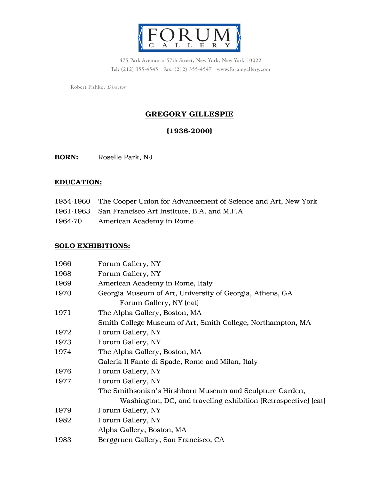

475 Park Avenue at 57th Street, New York, New York 10022 Tel: (212) 355-4545 Fax: (212) 355-4547 www.forumgallery.com

Robert Fishko, Director

# GREGORY GILLESPIE

# (1936-2000)

BORN: Roselle Park, NJ

#### EDUCATION:

- 1954-1960 The Cooper Union for Advancement of Science and Art, New York 1961-1963 San Francisco Art Institute, B.A. and M.F.A
- 1964-70 American Academy in Rome

#### SOLO EXHIBITIONS:

| 1966 | Forum Gallery, NY                                              |  |
|------|----------------------------------------------------------------|--|
| 1968 | Forum Gallery, NY                                              |  |
| 1969 | American Academy in Rome, Italy                                |  |
| 1970 | Georgia Museum of Art, University of Georgia, Athens, GA       |  |
|      | Forum Gallery, NY (cat)                                        |  |
| 1971 | The Alpha Gallery, Boston, MA                                  |  |
|      | Smith College Museum of Art, Smith College, Northampton, MA    |  |
| 1972 | Forum Gallery, NY                                              |  |
| 1973 | Forum Gallery, NY                                              |  |
| 1974 | The Alpha Gallery, Boston, MA                                  |  |
|      | Galeria Il Fante di Spade, Rome and Milan, Italy               |  |
| 1976 | Forum Gallery, NY                                              |  |
| 1977 | Forum Gallery, NY                                              |  |
|      | The Smithsonian's Hirshhorn Museum and Sculpture Garden,       |  |
|      | Washington, DC, and traveling exhibition (Retrospective) (cat) |  |
| 1979 | Forum Gallery, NY                                              |  |
| 1982 | Forum Gallery, NY                                              |  |
|      | Alpha Gallery, Boston, MA                                      |  |
| 1983 | Berggruen Gallery, San Francisco, CA                           |  |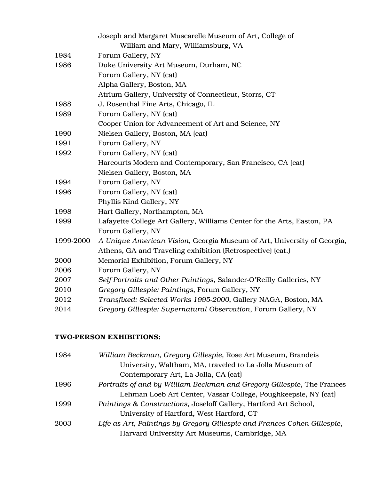|           | Joseph and Margaret Muscarelle Museum of Art, College of                |  |
|-----------|-------------------------------------------------------------------------|--|
|           | William and Mary, Williamsburg, VA                                      |  |
| 1984      | Forum Gallery, NY                                                       |  |
| 1986      | Duke University Art Museum, Durham, NC                                  |  |
|           | Forum Gallery, NY (cat)                                                 |  |
|           | Alpha Gallery, Boston, MA                                               |  |
|           | Atrium Gallery, University of Connecticut, Storrs, CT                   |  |
| 1988      | J. Rosenthal Fine Arts, Chicago, IL                                     |  |
| 1989      | Forum Gallery, NY (cat)                                                 |  |
|           | Cooper Union for Advancement of Art and Science, NY                     |  |
| 1990      | Nielsen Gallery, Boston, MA (cat)                                       |  |
| 1991      | Forum Gallery, NY                                                       |  |
| 1992      | Forum Gallery, NY (cat)                                                 |  |
|           | Harcourts Modern and Contemporary, San Francisco, CA (cat)              |  |
|           | Nielsen Gallery, Boston, MA                                             |  |
| 1994      | Forum Gallery, NY                                                       |  |
| 1996      | Forum Gallery, NY (cat)                                                 |  |
|           | Phyllis Kind Gallery, NY                                                |  |
| 1998      | Hart Gallery, Northampton, MA                                           |  |
| 1999      | Lafayette College Art Gallery, Williams Center for the Arts, Easton, PA |  |
|           | Forum Gallery, NY                                                       |  |
| 1999-2000 | A Unique American Vision, Georgia Museum of Art, University of Georgia, |  |
|           | Athens, GA and Traveling exhibition (Retrospective) (cat.)              |  |
| 2000      | Memorial Exhibition, Forum Gallery, NY                                  |  |
| 2006      | Forum Gallery, NY                                                       |  |
| 2007      | Self Portraits and Other Paintings, Salander-O'Reilly Galleries, NY     |  |
| 2010      | Gregory Gillespie: Paintings, Forum Gallery, NY                         |  |
| 2012      | Transfixed: Selected Works 1995-2000, Gallery NAGA, Boston, MA          |  |
| 2014      | Gregory Gillespie: Supernatural Observation, Forum Gallery, NY          |  |

#### TWO-PERSON EXHIBITIONS:

| 1984 | William Beckman, Gregory Gillespie, Rose Art Museum, Brandeis            |
|------|--------------------------------------------------------------------------|
|      | University, Waltham, MA, traveled to La Jolla Museum of                  |
|      | Contemporary Art, La Jolla, CA (cat)                                     |
| 1996 | Portraits of and by William Beckman and Gregory Gillespie, The Frances   |
|      | Lehman Loeb Art Center, Vassar College, Poughkeepsie, NY (cat)           |
| 1999 | Paintings & Constructions, Josel off Gallery, Hartford Art School,       |
|      | University of Hartford, West Hartford, CT                                |
| 2003 | Life as Art, Paintings by Gregory Gillespie and Frances Cohen Gillespie, |
|      | Harvard University Art Museums, Cambridge, MA                            |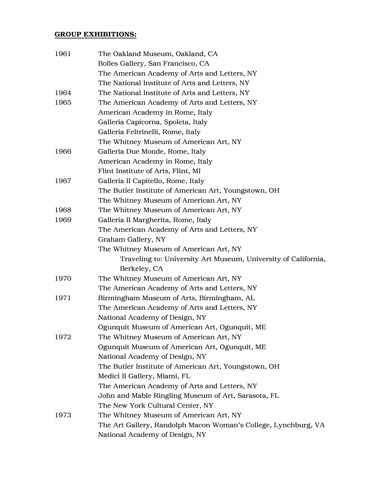#### GROUP EXHIBITIONS:

| 1961 | The Oakland Museum, Oakland, CA                                |
|------|----------------------------------------------------------------|
|      | Bolles Gallery, San Francisco, CA                              |
|      | The American Academy of Arts and Letters, NY                   |
|      | The National Institute of Arts and Letters, NY                 |
| 1964 | The National Institute of Arts and Letters, NY                 |
| 1965 | The American Academy of Arts and Letters, NY                   |
|      | American Academy in Rome, Italy                                |
|      | Galleria Capicorna, Spoleta, Italy                             |
|      | Galleria Feltrinelli, Rome, Italy                              |
|      | The Whitney Museum of American Art, NY                         |
| 1966 | Galleria Due Monde, Rome, Italy                                |
|      | American Academy in Rome, Italy                                |
|      | Flint Institute of Arts, Flint, MI                             |
| 1967 | Galleria Il Capitello, Rome, Italy                             |
|      | The Butler Institute of American Art, Youngstown, OH           |
|      | The Whitney Museum of American Art, NY                         |
| 1968 | The Whitney Museum of American Art, NY                         |
| 1969 | Galleria Il Margherita, Rome, Italy                            |
|      | The American Academy of Arts and Letters, NY                   |
|      | Graham Gallery, NY                                             |
|      | The Whitney Museum of American Art, NY                         |
|      | Traveling to: University Art Museum, University of California, |
|      | Berkeley, CA                                                   |
| 1970 | The Whitney Museum of American Art, NY                         |
|      | The American Academy of Arts and Letters, NY                   |
| 1971 | Birmingham Museum of Arts, Birmingham, AL                      |
|      | The American Academy of Arts and Letters, NY                   |
|      | National Academy of Design, NY                                 |
|      | Ogunquit Museum of American Art, Ogunquit, ME                  |
| 1972 | The Whitney Museum of American Art, NY                         |
|      | Ogunquit Museum of American Art, Ogunquit, ME                  |
|      | National Academy of Design, NY                                 |
|      | The Butler Institute of American Art, Youngstown, OH           |
|      | Medici Il Gallery, Miami, FL                                   |
|      | The American Academy of Arts and Letters, NY                   |
|      | John and Mable Ringling Museum of Art, Sarasota, FL            |
|      | The New York Cultural Center, NY                               |
| 1973 | The Whitney Museum of American Art, NY                         |
|      | The Art Gallery, Randolph Macon Woman's College, Lynchburg, VA |
|      | National Academy of Design, NY                                 |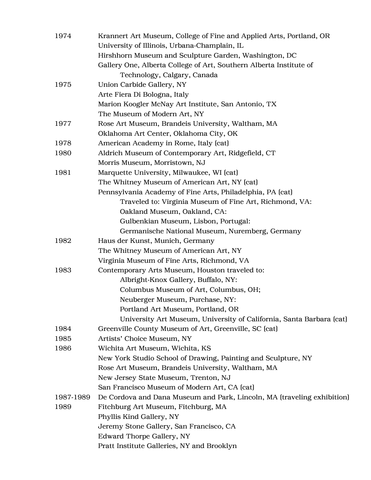| 1974      | Krannert Art Museum, College of Fine and Applied Arts, Portland, OR     |  |
|-----------|-------------------------------------------------------------------------|--|
|           | University of Illinois, Urbana-Champlain, IL                            |  |
|           | Hirshhorn Museum and Sculpture Garden, Washington, DC                   |  |
|           | Gallery One, Alberta College of Art, Southern Alberta Institute of      |  |
|           | Technology, Calgary, Canada                                             |  |
| 1975      | Union Carbide Gallery, NY                                               |  |
|           | Arte Fiera Di Bologna, Italy                                            |  |
|           | Marion Koogler McNay Art Institute, San Antonio, TX                     |  |
|           | The Museum of Modern Art, NY                                            |  |
| 1977      | Rose Art Museum, Brandeis University, Waltham, MA                       |  |
|           | Oklahoma Art Center, Oklahoma City, OK                                  |  |
| 1978      | American Academy in Rome, Italy (cat)                                   |  |
| 1980      | Aldrich Museum of Contemporary Art, Ridgefield, CT                      |  |
|           | Morris Museum, Morristown, NJ                                           |  |
| 1981      | Marquette University, Milwaukee, WI (cat)                               |  |
|           | The Whitney Museum of American Art, NY (cat)                            |  |
|           | Pennsylvania Academy of Fine Arts, Philadelphia, PA (cat)               |  |
|           | Traveled to: Virginia Museum of Fine Art, Richmond, VA:                 |  |
|           | Oakland Museum, Oakland, CA:                                            |  |
|           | Gulbenkian Museum, Lisbon, Portugal:                                    |  |
|           | Germanische National Museum, Nuremberg, Germany                         |  |
| 1982      | Haus der Kunst, Munich, Germany                                         |  |
|           | The Whitney Museum of American Art, NY                                  |  |
|           | Virginia Museum of Fine Arts, Richmond, VA                              |  |
| 1983      | Contemporary Arts Museum, Houston traveled to:                          |  |
|           | Albright-Knox Gallery, Buffalo, NY:                                     |  |
|           | Columbus Museum of Art, Columbus, OH;                                   |  |
|           | Neuberger Museum, Purchase, NY:                                         |  |
|           | Portland Art Museum, Portland, OR                                       |  |
|           | University Art Museum, University of California, Santa Barbara (cat)    |  |
| 1984      | Greenville County Museum of Art, Greenville, SC (cat)                   |  |
| 1985      | Artists' Choice Museum, NY                                              |  |
| 1986      | Wichita Art Museum, Wichita, KS                                         |  |
|           | New York Studio School of Drawing, Painting and Sculpture, NY           |  |
|           | Rose Art Museum, Brandeis University, Waltham, MA                       |  |
|           | New Jersey State Museum, Trenton, NJ                                    |  |
|           | San Francisco Museum of Modern Art, CA (cat)                            |  |
| 1987-1989 | De Cordova and Dana Museum and Park, Lincoln, MA (traveling exhibition) |  |
| 1989      | Fitchburg Art Museum, Fitchburg, MA                                     |  |
|           | Phyllis Kind Gallery, NY                                                |  |
|           | Jeremy Stone Gallery, San Francisco, CA                                 |  |
|           | <b>Edward Thorpe Gallery, NY</b>                                        |  |
|           | Pratt Institute Galleries, NY and Brooklyn                              |  |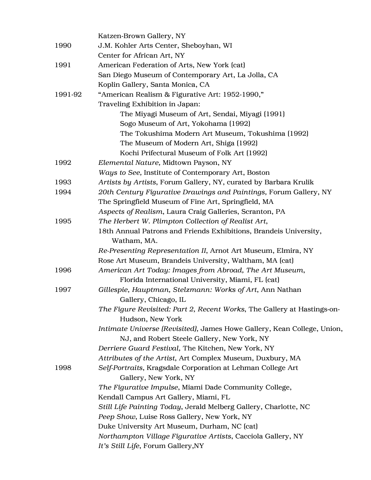|         | Katzen-Brown Gallery, NY                                                |
|---------|-------------------------------------------------------------------------|
| 1990    | J.M. Kohler Arts Center, Sheboyhan, WI                                  |
|         | Center for African Art, NY                                              |
| 1991    | American Federation of Arts, New York (cat)                             |
|         | San Diego Museum of Contemporary Art, La Jolla, CA                      |
|         | Koplin Gallery, Santa Monica, CA                                        |
| 1991-92 | "American Realism & Figurative Art: 1952-1990,"                         |
|         | Traveling Exhibition in Japan:                                          |
|         | The Miyagi Museum of Art, Sendai, Miyagi (1991)                         |
|         | Sogo Museum of Art, Yokohama (1992)                                     |
|         | The Tokushima Modern Art Museum, Tokushima (1992)                       |
|         | The Museum of Modern Art, Shiga (1992)                                  |
|         | Kochi Prifectural Museum of Folk Art (1992)                             |
| 1992    | Elemental Nature, Midtown Payson, NY                                    |
|         | Ways to See, Institute of Contemporary Art, Boston                      |
| 1993    | Artists by Artists, Forum Gallery, NY, curated by Barbara Krulik        |
| 1994    | 20th Century Figurative Drawings and Paintings, Forum Gallery, NY       |
|         | The Springfield Museum of Fine Art, Springfield, MA                     |
|         | Aspects of Realism, Laura Craig Galleries, Scranton, PA                 |
| 1995    | The Herbert W. Plimpton Collection of Realist Art,                      |
|         | 18th Annual Patrons and Friends Exhibitions, Brandeis University,       |
|         | Watham, MA.                                                             |
|         | Re-Presenting Representation II, Arnot Art Museum, Elmira, NY           |
|         | Rose Art Museum, Brandeis University, Waltham, MA (cat)                 |
| 1996    | American Art Today: Images from Abroad, The Art Museum,                 |
|         | Florida International University, Miami, FL (cat)                       |
| 1997    | Gillespie, Hauptman, Stelzmann: Works of Art, Ann Nathan                |
|         | Gallery, Chicago, IL                                                    |
|         | The Figure Revisited: Part 2, Recent Works, The Gallery at Hastings-on- |
|         | Hudson, New York                                                        |
|         | Intimate Universe (Revisited), James Howe Gallery, Kean College, Union, |
|         | NJ, and Robert Steele Gallery, New York, NY                             |
|         | Derriere Guard Festival, The Kitchen, New York, NY                      |
|         | Attributes of the Artist, Art Complex Museum, Duxbury, MA               |
| 1998    | Self-Portraits, Kragsdale Corporation at Lehman College Art             |
|         | Gallery, New York, NY                                                   |
|         | The Figurative Impulse, Miami Dade Community College,                   |
|         | Kendall Campus Art Gallery, Miami, FL                                   |
|         | Still Life Painting Today, Jerald Melberg Gallery, Charlotte, NC        |
|         | Peep Show, Luise Ross Gallery, New York, NY                             |
|         | Duke University Art Museum, Durham, NC (cat)                            |
|         | Northampton Village Figurative Artists, Cacciola Gallery, NY            |
|         | It's Still Life, Forum Gallery, NY                                      |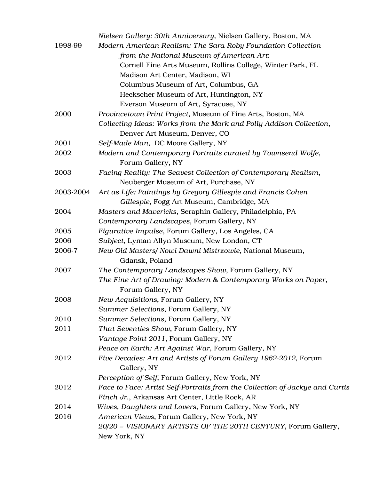|           | Nielsen Gallery: 30th Anniversary, Nielsen Gallery, Boston, MA                      |
|-----------|-------------------------------------------------------------------------------------|
| 1998-99   | Modern American Realism: The Sara Roby Foundation Collection                        |
|           | from the National Museum of American Art:                                           |
|           | Cornell Fine Arts Museum, Rollins College, Winter Park, FL                          |
|           | Madison Art Center, Madison, WI                                                     |
|           | Columbus Museum of Art, Columbus, GA                                                |
|           | Heckscher Museum of Art, Huntington, NY                                             |
|           | Everson Museum of Art, Syracuse, NY                                                 |
| 2000      | Provincetown Print Project, Museum of Fine Arts, Boston, MA                         |
|           | Collecting Ideas: Works from the Mark and Polly Addison Collection,                 |
|           | Denver Art Museum, Denver, CO                                                       |
| 2001      | Self-Made Man, DC Moore Gallery, NY                                                 |
| 2002      | Modern and Contemporary Portraits curated by Townsend Wolfe,                        |
|           | Forum Gallery, NY                                                                   |
| 2003      | Facing Reality: The Seavest Collection of Contemporary Realism,                     |
|           | Neuberger Museum of Art, Purchase, NY                                               |
| 2003-2004 | Art as Life: Paintings by Gregory Gillespie and Francis Cohen                       |
|           | Gillespie, Fogg Art Museum, Cambridge, MA                                           |
| 2004      | Masters and Mavericks, Seraphin Gallery, Philadelphia, PA                           |
|           | Contemporary Landscapes, Forum Gallery, NY                                          |
| 2005      | Figurative Impulse, Forum Gallery, Los Angeles, CA                                  |
| 2006      | Subject, Lyman Allyn Museum, New London, CT                                         |
| 2006-7    | New Old Masters/ Nowi Dawni Mistrzowie, National Museum,                            |
|           | Gdansk, Poland                                                                      |
| 2007      | The Contemporary Landscapes Show, Forum Gallery, NY                                 |
|           | The Fine Art of Drawing: Modern & Contemporary Works on Paper,<br>Forum Gallery, NY |
| 2008      | New Acquisitions, Forum Gallery, NY                                                 |
|           | Summer Selections, Forum Gallery, NY                                                |
| 2010      | Summer Selections, Forum Gallery, NY                                                |
| 2011      | That Seventies Show, Forum Gallery, NY                                              |
|           | Vantage Point 2011, Forum Gallery, NY                                               |
|           | Peace on Earth: Art Against War, Forum Gallery, NY                                  |
| 2012      | Five Decades: Art and Artists of Forum Gallery 1962-2012, Forum                     |
|           | Gallery, NY                                                                         |
|           | Perception of Self, Forum Gallery, New York, NY                                     |
| 2012      | Face to Face: Artist Self-Portraits from the Collection of Jackye and Curtis        |
|           | Finch Jr., Arkansas Art Center, Little Rock, AR                                     |
| 2014      | Wives, Daughters and Lovers, Forum Gallery, New York, NY                            |
| 2016      | American Views, Forum Gallery, New York, NY                                         |
|           | 20/20 - VISIONARY ARTISTS OF THE 20TH CENTURY, Forum Gallery,                       |
|           | New York, NY                                                                        |
|           |                                                                                     |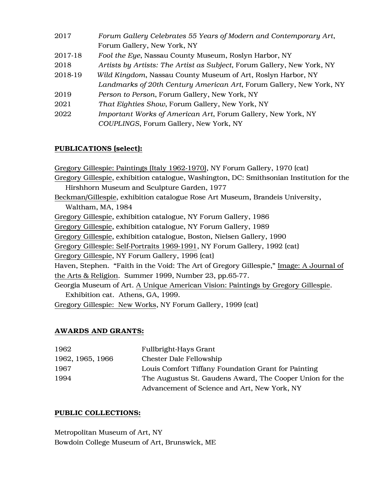| Forum Gallery Celebrates 55 Years of Modern and Contemporary Art,      |  |
|------------------------------------------------------------------------|--|
| Forum Gallery, New York, NY                                            |  |
| Fool the Eye, Nassau County Museum, Roslyn Harbor, NY                  |  |
| Artists by Artists: The Artist as Subject, Forum Gallery, New York, NY |  |
| Wild Kingdom, Nassau County Museum of Art, Roslyn Harbor, NY           |  |
| Landmarks of 20th Century American Art, Forum Gallery, New York, NY    |  |
| Person to Person, Forum Gallery, New York, NY                          |  |
| That Eighties Show, Forum Gallery, New York, NY                        |  |
| Important Works of American Art, Forum Gallery, New York, NY           |  |
| COUPLINGS, Forum Gallery, New York, NY                                 |  |
|                                                                        |  |

# PUBLICATIONS (select):

Gregory Gillespie: Paintings (Italy 1962-1970), NY Forum Gallery, 1970 (cat) Gregory Gillespie, exhibition catalogue, Washington, DC: Smithsonian Institution for the Hirshhorn Museum and Sculpture Garden, 1977 Beckman/Gillespie, exhibition catalogue Rose Art Museum, Brandeis University, Waltham, MA, 1984 Gregory Gillespie, exhibition catalogue, NY Forum Gallery, 1986 Gregory Gillespie, exhibition catalogue, NY Forum Gallery, 1989 Gregory Gillespie, exhibition catalogue, Boston, Nielsen Gallery, 1990 Gregory Gillespie: Self-Portraits 1969-1991, NY Forum Gallery, 1992 (cat) Gregory Gillespie, NY Forum Gallery, 1996 (cat) Haven, Stephen. "Faith in the Void: The Art of Gregory Gillespie," Image: A Journal of the Arts & Religion. Summer 1999, Number 23, pp.65-77. Georgia Museum of Art. A Unique American Vision: Paintings by Gregory Gillespie. Exhibition cat. Athens, GA, 1999. Gregory Gillespie: New Works, NY Forum Gallery, 1999 (cat)

# AWARDS AND GRANTS:

| 1962             | Fullbright-Hays Grant                                    |
|------------------|----------------------------------------------------------|
| 1962, 1965, 1966 | <b>Chester Dale Fellowship</b>                           |
| 1967             | Louis Comfort Tiffany Foundation Grant for Painting      |
| 1994             | The Augustus St. Gaudens Award, The Cooper Union for the |
|                  | Advancement of Science and Art, New York, NY             |

# PUBLIC COLLECTIONS:

Metropolitan Museum of Art, NY Bowdoin College Museum of Art, Brunswick, ME